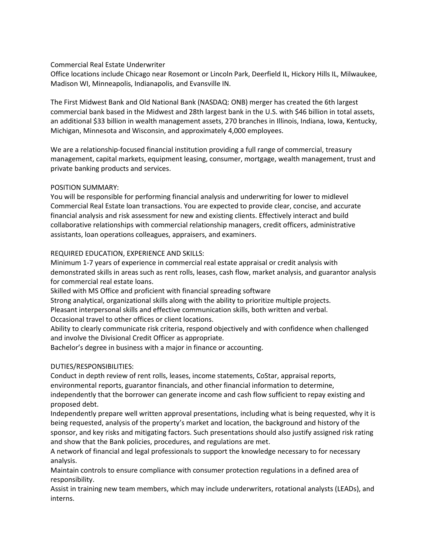## Commercial Real Estate Underwriter

Office locations include Chicago near Rosemont or Lincoln Park, Deerfield IL, Hickory Hills IL, Milwaukee, Madison WI, Minneapolis, Indianapolis, and Evansville IN.

The First Midwest Bank and Old National Bank (NASDAQ: ONB) merger has created the 6th largest commercial bank based in the Midwest and 28th largest bank in the U.S. with \$46 billion in total assets, an additional \$33 billion in wealth management assets, 270 branches in Illinois, Indiana, Iowa, Kentucky, Michigan, Minnesota and Wisconsin, and approximately 4,000 employees.

We are a relationship-focused financial institution providing a full range of commercial, treasury management, capital markets, equipment leasing, consumer, mortgage, wealth management, trust and private banking products and services.

## POSITION SUMMARY:

You will be responsible for performing financial analysis and underwriting for lower to midlevel Commercial Real Estate loan transactions. You are expected to provide clear, concise, and accurate financial analysis and risk assessment for new and existing clients. Effectively interact and build collaborative relationships with commercial relationship managers, credit officers, administrative assistants, loan operations colleagues, appraisers, and examiners.

## REQUIRED EDUCATION, EXPERIENCE AND SKILLS:

Minimum 1-7 years of experience in commercial real estate appraisal or credit analysis with demonstrated skills in areas such as rent rolls, leases, cash flow, market analysis, and guarantor analysis for commercial real estate loans.

Skilled with MS Office and proficient with financial spreading software

Strong analytical, organizational skills along with the ability to prioritize multiple projects.

Pleasant interpersonal skills and effective communication skills, both written and verbal.

Occasional travel to other offices or client locations.

Ability to clearly communicate risk criteria, respond objectively and with confidence when challenged and involve the Divisional Credit Officer as appropriate.

Bachelor's degree in business with a major in finance or accounting.

## DUTIES/RESPONSIBILITIES:

Conduct in depth review of rent rolls, leases, income statements, CoStar, appraisal reports, environmental reports, guarantor financials, and other financial information to determine, independently that the borrower can generate income and cash flow sufficient to repay existing and proposed debt.

Independently prepare well written approval presentations, including what is being requested, why it is being requested, analysis of the property's market and location, the background and history of the sponsor, and key risks and mitigating factors. Such presentations should also justify assigned risk rating and show that the Bank policies, procedures, and regulations are met.

A network of financial and legal professionals to support the knowledge necessary to for necessary analysis.

Maintain controls to ensure compliance with consumer protection regulations in a defined area of responsibility.

Assist in training new team members, which may include underwriters, rotational analysts (LEADs), and interns.